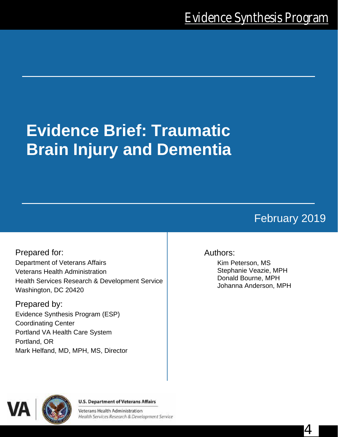# **Evidence Brief: Traumatic Brain Injury and Dementia**

# February 2019

4

Prepared for: Department of Veterans Affairs Veterans Health Administration Health Services Research & Development Service Washington, DC 20420

Prepared by: Evidence Synthesis Program (ESP) Coordinating Center Portland VA Health Care System Portland, OR Mark Helfand, MD, MPH, MS, Director

## Authors:

Kim Peterson, MS Stephanie Veazie, MPH Donald Bourne, MPH Johanna Anderson, MPH



#### **U.S. Department of Veterans Affairs**

Veterans Health Administration Health Services Research & Development Service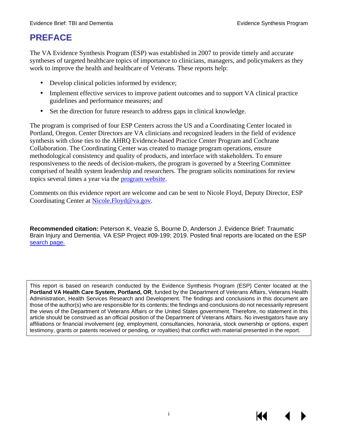# **PREFACE**

The VA Evidence Synthesis Program (ESP) was established in 2007 to provide timely and accurate syntheses of targeted healthcare topics of importance to clinicians, managers, and policymakers as they work to improve the health and healthcare of Veterans. These reports help:

- Develop clinical policies informed by evidence;
- Implement effective services to improve patient outcomes and to support VA clinical practice guidelines and performance measures; and
- Set the direction for future research to address gaps in clinical knowledge.

The program is comprised of four ESP Centers across the US and a Coordinating Center located in Portland, Oregon. Center Directors are VA clinicians and recognized leaders in the field of evidence synthesis with close ties to the AHRQ Evidence-based Practice Center Program and Cochrane Collaboration. The Coordinating Center was created to manage program operations, ensure methodological consistency and quality of products, and interface with stakeholders. To ensure responsiveness to the needs of decision-makers, the program is governed by a Steering Committee comprised of health system leadership and researchers. The program solicits nominations for review topics several times a year via the [program website.](https://www.hsrd.research.va.gov/publications/esp/TopicNomination.cfm)

Comments on this evidence report are welcome and can be sent to Nicole Floyd, Deputy Director, ESP Coordinating Center at [Nicole.Floyd@va.gov.](mailto:Nicole.Floyd@va.gov)

**Recommended citation:** Peterson K, Veazie S, Bourne D, Anderson J. Evidence Brief: Traumatic Brain Injury and Dementia. VA ESP Project #09-199; 2019. Posted final reports are located on the ESP [search page.](https://www.hsrd.research.va.gov/publications/esp/reports.cfm)

This report is based on research conducted by the Evidence Synthesis Program (ESP) Center located at the **Portland VA Health Care System, Portland, OR**, funded by the Department of Veterans Affairs, Veterans Health Administration, Health Services Research and Development. The findings and conclusions in this document are those of the author(s) who are responsible for its contents; the findings and conclusions do not necessarily represent the views of the Department of Veterans Affairs or the United States government. Therefore, no statement in this article should be construed as an official position of the Department of Veterans Affairs. No investigators have any affiliations or financial involvement (*eg*, employment, consultancies, honoraria, stock ownership or options, expert testimony, grants or patents received or pending, or royalties) that conflict with material presented in the report.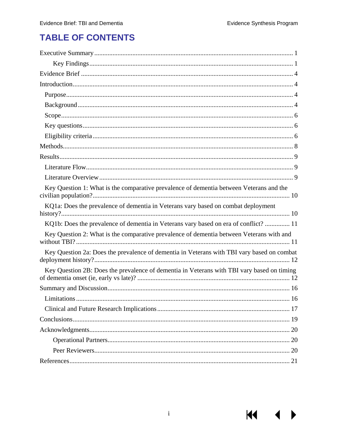$M = 1$ 

# **TABLE OF CONTENTS**

| Key Question 1: What is the comparative prevalence of dementia between Veterans and the    |
|--------------------------------------------------------------------------------------------|
| KQ1a: Does the prevalence of dementia in Veterans vary based on combat deployment          |
| KQ1b: Does the prevalence of dementia in Veterans vary based on era of conflict?  11       |
| Key Question 2: What is the comparative prevalence of dementia between Veterans with and   |
| Key Question 2a: Does the prevalence of dementia in Veterans with TBI vary based on combat |
| Key Question 2B: Does the prevalence of dementia in Veterans with TBI vary based on timing |
|                                                                                            |
|                                                                                            |
|                                                                                            |
|                                                                                            |
|                                                                                            |
|                                                                                            |
|                                                                                            |
|                                                                                            |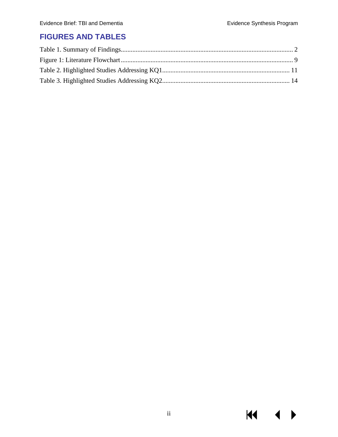$M \rightarrow$ 

## **FIGURES AND TABLES**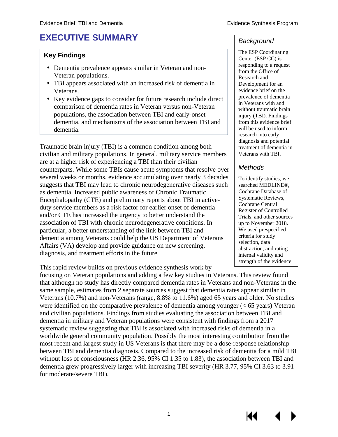# <span id="page-4-0"></span>**EXECUTIVE SUMMARY**

#### **Key Findings**

- Dementia prevalence appears similar in Veteran and non-Veteran populations.
- TBI appears associated with an increased risk of dementia in Veterans.
- Key evidence gaps to consider for future research include direct comparison of dementia rates in Veteran versus non-Veteran populations, the association between TBI and early-onset dementia, and mechanisms of the association between TBI and dementia.

Traumatic brain injury (TBI) is a common condition among both civilian and military populations. In general, military service members are at a higher risk of experiencing a TBI than their civilian counterparts. While some TBIs cause acute symptoms that resolve over several weeks or months, evidence accumulating over nearly 3 decades suggests that TBI may lead to chronic neurodegenerative diseases such as dementia. Increased public awareness of Chronic Traumatic Encephalopathy (CTE) and preliminary reports about TBI in activeduty service members as a risk factor for earlier onset of dementia and/or CTE has increased the urgency to better understand the association of TBI with chronic neurodegenerative conditions. In particular, a better understanding of the link between TBI and dementia among Veterans could help the US Department of Veterans Affairs (VA) develop and provide guidance on new screening, diagnosis, and treatment efforts in the future.

This rapid review builds on previous evidence synthesis work by

focusing on Veteran populations and adding a few key studies in Veterans. This review found that although no study has directly compared dementia rates in Veterans and non-Veterans in the same sample, estimates from 2 separate sources suggest that dementia rates appear similar in Veterans (10.7%) and non-Veterans (range, 8.8% to 11.6%) aged 65 years and older. No studies were identified on the comparative prevalence of dementia among younger (< 65 years) Veteran and civilian populations. Findings from studies evaluating the association between TBI and dementia in military and Veteran populations were consistent with findings from a 2017 systematic review suggesting that TBI is associated with increased risks of dementia in a worldwide general community population. Possibly the most interesting contribution from the most recent and largest study in US Veterans is that there may be a dose-response relationship between TBI and dementia diagnosis. Compared to the increased risk of dementia for a mild TBI without loss of consciousness (HR 2.36, 95% CI 1.35 to 1.83), the association between TBI and dementia grew progressively larger with increasing TBI severity (HR 3.77, 95% CI 3.63 to 3.91 for moderate/severe TBI).

#### *Background*

The ESP Coordinating Center (ESP CC) is responding to a request from the Office of Research and Development for an evidence brief on the prevalence of dementia in Veterans with and without traumatic brain injury (TBI). Findings from this evidence brief will be used to inform research into early diagnosis and potential treatment of dementia in Veterans with TBI.

#### *Methods*

To identify studies, we searched MEDLINE®, Cochrane Database of Systematic Reviews, Cochrane Central Register of Controlled Trials, and other sources up to November 2018. We used prespecified criteria for study selection, data abstraction, and rating internal validity and strength of the evidence.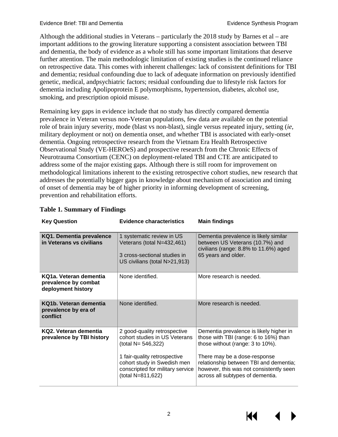Although the additional studies in Veterans – particularly the 2018 study by Barnes et al – are important additions to the growing literature supporting a consistent association between TBI and dementia, the body of evidence as a whole still has some important limitations that deserve further attention. The main methodologic limitation of existing studies is the continued reliance on retrospective data. This comes with inherent challenges: lack of consistent definitions for TBI and dementia; residual confounding due to lack of adequate information on previously identified genetic, medical, andpsychiatric factors; residual confounding due to lifestyle risk factors for dementia including Apolipoprotein E polymorphisms, hypertension, diabetes, alcohol use, smoking, and prescription opioid misuse.

Remaining key gaps in evidence include that no study has directly compared dementia prevalence in Veteran versus non-Veteran populations, few data are available on the potential role of brain injury severity, mode (blast vs non-blast), single versus repeated injury, setting (*ie*, military deployment or not) on dementia onset, and whether TBI is associated with early-onset dementia. Ongoing retrospective research from the Vietnam Era Health Retrospective Observational Study (VE-HEROeS) and prospective research from the Chronic Effects of Neurotrauma Consortium (CENC) on deployment-related TBI and CTE are anticipated to address some of the major existing gaps. Although there is still room for improvement on methodological limitations inherent to the existing retrospective cohort studies, new research that addresses the potentially bigger gaps in knowledge about mechanism of association and timing of onset of dementia may be of higher priority in informing development of screening, prevention and rehabilitation efforts.

| <b>Key Question</b>                                                  | <b>Evidence characteristics</b>                                                                                                                                                                             | <b>Main findings</b>                                                                                                                                                                                                                                                          |  |
|----------------------------------------------------------------------|-------------------------------------------------------------------------------------------------------------------------------------------------------------------------------------------------------------|-------------------------------------------------------------------------------------------------------------------------------------------------------------------------------------------------------------------------------------------------------------------------------|--|
| KQ1. Dementia prevalence<br>in Veterans vs civilians                 | 1 systematic review in US<br>Veterans (total N=432,461)<br>3 cross-sectional studies in<br>US civilians (total N>21,913)                                                                                    | Dementia prevalence is likely similar<br>between US Veterans (10.7%) and<br>civilians (range: 8.8% to 11.6%) aged<br>65 years and older.                                                                                                                                      |  |
| KQ1a. Veteran dementia<br>prevalence by combat<br>deployment history | None identified.                                                                                                                                                                                            | More research is needed.                                                                                                                                                                                                                                                      |  |
| KQ1b. Veteran dementia<br>prevalence by era of<br>conflict           | None identified.                                                                                                                                                                                            | More research is needed.                                                                                                                                                                                                                                                      |  |
| KQ2. Veteran dementia<br>prevalence by TBI history                   | 2 good-quality retrospective<br>cohort studies in US Veterans<br>(total N= 546,322)<br>1 fair-quality retrospective<br>cohort study in Swedish men<br>conscripted for military service<br>(total N=811,622) | Dementia prevalence is likely higher in<br>those with TBI (range: 6 to 16%) than<br>those without (range: 3 to 10%).<br>There may be a dose-response<br>relationship between TBI and dementia;<br>however, this was not consistently seen<br>across all subtypes of dementia. |  |

#### <span id="page-5-0"></span>**Table 1. Summary of Findings**

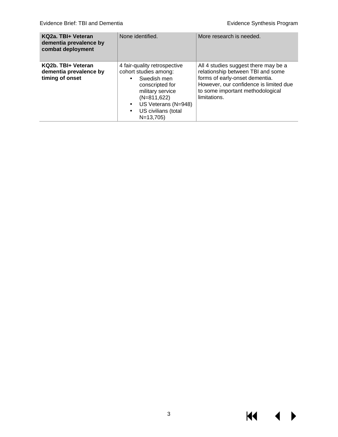$M \rightarrow$ 

| KQ2a. TBI+ Veteran<br>dementia prevalence by<br>combat deployment | None identified.                                                                                                                                                                         | More research is needed.                                                                                                                                                                                  |  |
|-------------------------------------------------------------------|------------------------------------------------------------------------------------------------------------------------------------------------------------------------------------------|-----------------------------------------------------------------------------------------------------------------------------------------------------------------------------------------------------------|--|
| KQ2b. TBI+ Veteran<br>dementia prevalence by<br>timing of onset   | 4 fair-quality retrospective<br>cohort studies among:<br>Swedish men<br>conscripted for<br>military service<br>$(N=811,622)$<br>US Veterans (N=948)<br>US civilians (total<br>$N=13,705$ | All 4 studies suggest there may be a<br>relationship between TBI and some<br>forms of early-onset dementia.<br>However, our confidence is limited due<br>to some important methodological<br>limitations. |  |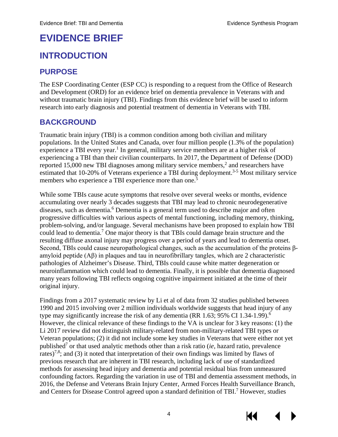# <span id="page-7-0"></span>**EVIDENCE BRIEF**

## <span id="page-7-1"></span>**INTRODUCTION**

## <span id="page-7-2"></span>**PURPOSE**

The ESP Coordinating Center (ESP CC) is responding to a request from the Office of Research and Development (ORD) for an evidence brief on dementia prevalence in Veterans with and without traumatic brain injury (TBI). Findings from this evidence brief will be used to inform research into early diagnosis and potential treatment of dementia in Veterans with TBI.

## <span id="page-7-3"></span>**BACKGROUND**

Traumatic brain injury (TBI) is a common condition among both civilian and military populations. In the United States and Canada, over four million people (1.3% of the population) experience a TBI every year.<sup>1</sup> In general, military service members are at a higher risk of experiencing a TBI than their civilian counterparts. In 2017, the Department of Defense (DOD) reported 15,000 new TBI diagnoses among military service members,<sup>2</sup> and researchers have estimated that 10-20% of Veterans experience a TBI during deployment.<sup>3-5</sup> Most military service members who experience a TBI experience more than one.<sup>[5](#page-24-3)</sup>

While some TBIs cause acute symptoms that resolve over several weeks or months, evidence accumulating over nearly 3 decades suggests that TBI may lead to chronic neurodegenerative diseases, such as dementia.<sup>[6](#page-24-3)</sup> Dementia is a general term used to describe major and often progressive difficulties with various aspects of mental functioning, including memory, thinking, problem-solving, and/or language. Several mechanisms have been proposed to explain how TBI could lead to dementia[.7](#page-24-3) One major theory is that TBIs could damage brain structure and the resulting diffuse axonal injury may progress over a period of years and lead to dementia onset. Second, TBIs could cause neuropathological changes, such as the accumulation of the proteins βamyloid peptide (Aβ) in plaques and tau in neurofibrillary tangles, which are 2 characteristic pathologies of Alzheimer's Disease. Third, TBIs could cause white matter degeneration or neuroinflammation which could lead to dementia. Finally, it is possible that dementia diagnosed many years following TBI reflects ongoing cognitive impairment initiated at the time of their original injury.

Findings from a 2017 systematic review by Li et al of data from 32 studies published between 1990 and 2015 involving over 2 million individuals worldwide suggests that head injury of any type may significantly increase the risk of any dementia (RR 1[.6](#page-24-3)3; 95% CI 1.34-1.99).<sup>6</sup> However, the clinical relevance of these findings to the VA is unclear for 3 key reasons: (1) the Li 2017 review did not distinguish military-related from non-military-related TBI types or Veteran populations; (2) it did not include some key studies in Veterans that were either not yet publishe[d7](#page-24-3) or that used analytic methods other than a risk ratio (*ie*, hazard ratio, prevalence rates)<sup>[7,](#page-24-1)[8](#page-24-2)</sup>; and (3) it noted that interpretation of their own findings was limited by flaws of previous research that are inherent in TBI research, including lack of use of standardized methods for assessing head injury and dementia and potential residual bias from unmeasured confounding factors. Regarding the variation in use of TBI and dementia assessment methods, in 2016, the Defense and Veterans Brain Injury Center, Armed Forces Health Surveillance Branch, and Centers for Disease Control agreed upon a standard definition of TBI.<sup>7</sup> However, studies

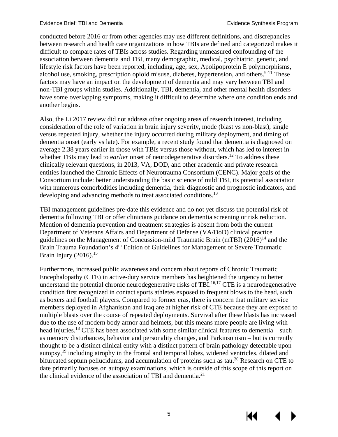conducted before 2016 or from other agencies may use different definitions, and discrepancies between research and health care organizations in how TBIs are defined and categorized makes it difficult to compare rates of TBIs across studies. Regarding unmeasured confounding of the association between dementia and TBI, many demographic, medical, psychiatric, genetic, and lifestyle risk factors have been reported, including, age, sex, Apolipoprotein E polymorphisms, alcohol use, smoking, prescription opioid misuse, diabetes, hypertension, and others.<sup>[9-11](#page-24-3)</sup> These factors may have an impact on the development of dementia and may vary between TBI and non-TBI groups within studies. Additionally, TBI, dementia, and other mental health disorders have some overlapping symptoms, making it difficult to determine where one condition ends and another begins.

Also, the Li 2017 review did not address other ongoing areas of research interest, including consideration of the role of variation in brain injury severity, mode (blast vs non-blast), single versus repeated injury, whether the injury occurred during military deployment, and timing of dementia onset (early vs late). For example, a recent study found that dementia is diagnosed on average 2.38 years earlier in those with TBIs versus those without, which has led to interest in whether TBIs may lead to e*arlier* onset of neurodegenerative disorders.<sup>[12](#page-24-4)</sup> To address these clinically relevant questions, in 2013, VA, DOD, and other academic and private research entities launched the Chronic Effects of Neurotrauma Consortium (CENC). Major goals of the Consortium include: better understanding the basic science of mild TBI, its potential association with numerous comorbidities including dementia, their diagnostic and prognostic indicators, and developing and advancing methods to treat associated conditions.<sup>[13](#page-24-3)</sup>

TBI management guidelines pre-date this evidence and do not yet discuss the potential risk of dementia following TBI or offer clinicians guidance on dementia screening or risk reduction. Mention of dementia prevention and treatment strategies is absent from both the current Department of Veterans Affairs and Department of Defense (VA/DoD) clinical practice guidelines on the Management of Concussion-mild Traumatic Brain (mTBI)  $(2016)^{14}$  and the Brain Trauma Foundation's 4<sup>th</sup> Edition of Guidelines for Management of Severe Traumatic Brain Injury  $(2016).$ <sup>15</sup>

Furthermore, increased public awareness and concern about reports of Chronic Traumatic Encephalopathy (CTE) in active-duty service members has heightened the urgency to better understand the potential chronic neurodegenerative risks of TBI. [16,](#page-25-0)[17](#page-25-1) CTE is a neurodegenerative condition first recognized in contact sports athletes exposed to frequent blows to the head, such as boxers and football players. Compared to former eras, there is concern that military service members deployed in Afghanistan and Iraq are at higher risk of CTE because they are exposed to multiple blasts over the course of repeated deployments. Survival after these blasts has increased due to the use of modern body armor and helmets, but this means more people are living with head injuries.<sup>[18](#page-25-2)</sup> CTE has been associated with some similar clinical features to dementia – such as memory disturbances, behavior and personality changes, and Parkinsonism – but is currently thought to be a distinct clinical entity with a distinct pattern of brain pathology detectable upon autopsy,[19](#page-25-2) including atrophy in the frontal and temporal lobes, widened ventricles, dilated and bifurcated septum pellucidums, and accumulation of proteins such as tau.<sup>20</sup> Research on CTE to date primarily focuses on autopsy examinations, which is outside of this scope of this report on the clinical evidence of the association of TBI and dementia. $2<sup>1</sup>$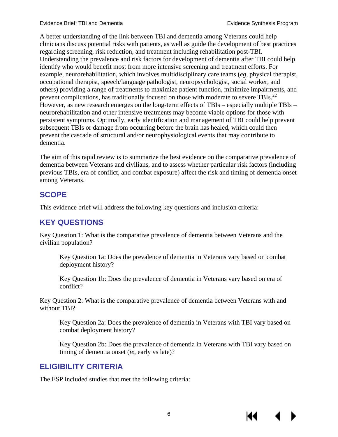A better understanding of the link between TBI and dementia among Veterans could help clinicians discuss potential risks with patients, as well as guide the development of best practices regarding screening, risk reduction, and treatment including rehabilitation post-TBI. Understanding the prevalence and risk factors for development of dementia after TBI could help identify who would benefit most from more intensive screening and treatment efforts. For example, neurorehabilitation, which involves multidisciplinary care teams (*eg*, physical therapist, occupational therapist, speech/language pathologist, neuropsychologist, social worker, and others) providing a range of treatments to maximize patient function, minimize impairments, and prevent complications, has traditionally focused on those with moderate to severe TBIs.<sup>22</sup> However, as new research emerges on the long-term effects of TBIs – especially multiple TBIs – neurorehabilitation and other intensive treatments may become viable options for those with persistent symptoms. Optimally, early identification and management of TBI could help prevent subsequent TBIs or damage from occurring before the brain has healed, which could then prevent the cascade of structural and/or neurophysiological events that may contribute to dementia.

The aim of this rapid review is to summarize the best evidence on the comparative prevalence of dementia between Veterans and civilians, and to assess whether particular risk factors (including previous TBIs, era of conflict, and combat exposure) affect the risk and timing of dementia onset among Veterans.

## <span id="page-9-0"></span>**SCOPE**

This evidence brief will address the following key questions and inclusion criteria:

## <span id="page-9-1"></span>**KEY QUESTIONS**

Key Question 1: What is the comparative prevalence of dementia between Veterans and the civilian population?

Key Question 1a: Does the prevalence of dementia in Veterans vary based on combat deployment history?

Key Question 1b: Does the prevalence of dementia in Veterans vary based on era of conflict?

Key Question 2: What is the comparative prevalence of dementia between Veterans with and without TBI?

Key Question 2a: Does the prevalence of dementia in Veterans with TBI vary based on combat deployment history?

Key Question 2b: Does the prevalence of dementia in Veterans with TBI vary based on timing of dementia onset (*ie*, early vs late)?

## <span id="page-9-2"></span>**ELIGIBILITY CRITERIA**

The ESP included studies that met the following criteria: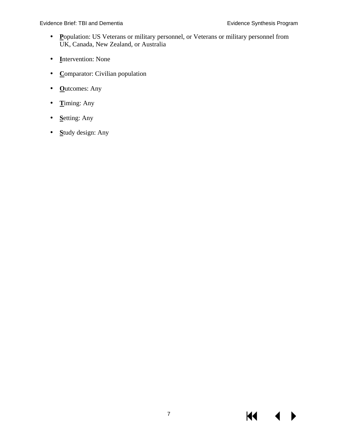- **P**opulation: US Veterans or military personnel, or Veterans or military personnel from  $\mathcal{L}^{\pm}$ UK, Canada, New Zealand, or Australia
- **I**ntervention: None
- **Comparator:** Civilian population
- **O**utcomes: Any
- **T**iming: Any
- **S**etting: Any
- **S**tudy design: Any $\mathbf{r}$

KI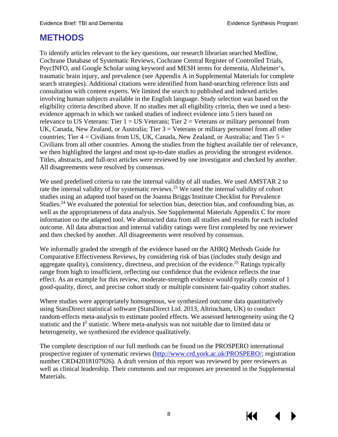## <span id="page-11-0"></span>**METHODS**

To identify articles relevant to the key questions, our research librarian searched Medline, Cochrane Database of Systematic Reviews, Cochrane Central Register of Controlled Trials, PsycINFO, and Google Scholar using keyword and MESH terms for dementia, Alzheimer's, traumatic brain injury, and prevalence (see Appendix A in Supplemental Materials for complete search strategies). Additional citations were identified from hand-searching reference lists and consultation with content experts. We limited the search to published and indexed articles involving human subjects available in the English language. Study selection was based on the eligibility criteria described above. If no studies met all eligibility criteria, then we used a bestevidence approach in which we ranked studies of indirect evidence into 5 tiers based on relevance to US Veterans: Tier  $1 = US$  Veterans; Tier  $2 =$  Veterans or military personnel from UK, Canada, New Zealand, or Australia; Tier  $3 =$  Veterans or military personnel from all other countries; Tier  $4 =$  Civilians from US, UK, Canada, New Zealand, or Australia; and Tier  $5 =$ Civilians from all other countries. Among the studies from the highest available tier of relevance, we then highlighted the largest and most up-to-date studies as providing the strongest evidence. Titles, abstracts, and full-text articles were reviewed by one investigator and checked by another. All disagreements were resolved by consensus.

We used predefined criteria to rate the internal validity of all studies. We used AMSTAR 2 to rate the internal validity of for systematic reviews.<sup>[23](#page-25-2)</sup> We rated the internal validity of cohort studies using an adapted tool based on the Joanna Briggs Institute Checklist for Prevalence Studies.<sup>[24](#page-25-2)</sup> We evaluated the potential for selection bias, detection bias, and confounding bias, as well as the appropriateness of data analysis. See Supplemental Materials Appendix C for more information on the adapted tool. We abstracted data from all studies and results for each included outcome. All data abstraction and internal validity ratings were first completed by one reviewer and then checked by another. All disagreements were resolved by consensus.

We informally graded the strength of the evidence based on the AHRQ Methods Guide for Comparative Effectiveness Reviews, by considering risk of bias (includes study design and aggregate quality), consistency, directness, and precision of the evidence.<sup>25</sup> Ratings typically range from high to insufficient, reflecting our confidence that the evidence reflects the true effect. As an example for this review, moderate-strength evidence would typically consist of 1 good-quality, direct, and precise cohort study or multiple consistent fair-quality cohort studies.

Where studies were appropriately homogenous, we synthesized outcome data quantitatively using StatsDirect statistical software (StatsDirect Ltd. 2013, Altrincham, UK) to conduct random-effects meta-analysis to estimate pooled effects. We assessed heterogeneity using the Q statistic and the  $I<sup>2</sup>$  statistic. Where meta-analysis was not suitable due to limited data or heterogeneity, we synthesized the evidence qualitatively.

The complete description of our full methods can be found on the PROSPERO international prospective register of systematic reviews [\(http://www.crd.york.ac.uk/PROSPERO/;](http://www.crd.york.ac.uk/PROSPERO/) registration number CRD42018107926). A draft version of this report was reviewed by peer reviewers as well as clinical leadership. Their comments and our responses are presented in the Supplemental Materials.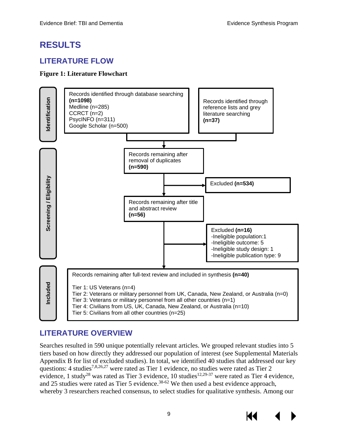## <span id="page-12-0"></span>**RESULTS**

## <span id="page-12-1"></span>**LITERATURE FLOW**

#### <span id="page-12-3"></span>**Figure 1: Literature Flowchart**



## <span id="page-12-2"></span>**LITERATURE OVERVIEW**

Searches resulted in 590 unique potentially relevant articles. We grouped relevant studies into 5 tiers based on how directly they addressed our population of interest (see Supplemental Materials Appendix B for list of excluded studies). In total, we identified 40 studies that addressed our key questions: 4 studies<sup>7[,8](#page-24-2)[,26](#page-25-3)[,27](#page-25-4)</sup> were rated as Tier 1 evidence, no studies were rated as Tier 2 evidence, 1 study<sup>[28](#page-26-1)</sup> was rated as Tier 3 evidence, 10 studies<sup>12[,29-37](#page-26-0)</sup> were rated as Tier 4 evidence, and 25 studies were rated as Tier 5 evidence.<sup>[38-62](#page-26-1)</sup> We then used a best evidence approach, whereby 3 researchers reached consensus, to select studies for qualitative synthesis. Among our

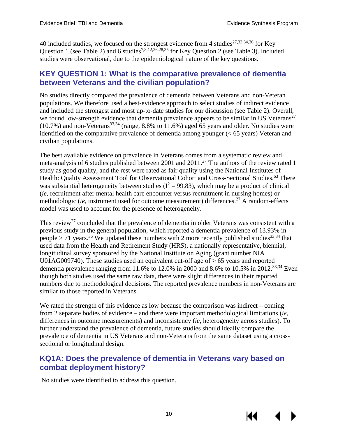40 included studies, we focused on the strongest evidence from 4 studies<sup>[27,](#page-25-4)[33,](#page-26-2)[34,](#page-26-3)[36](#page-26-4)</sup> for Key Question 1 (see Table 2) and 6 studies<sup>[7,](#page-24-1)[8,](#page-24-2)[12,](#page-24-4)[26,](#page-25-3)[28,](#page-25-5)[35](#page-26-5)</sup> for Key Question 2 (see Table 3). Included studies were observational, due to the epidemiological nature of the key questions.

#### <span id="page-13-0"></span>**KEY QUESTION 1: What is the comparative prevalence of dementia between Veterans and the civilian population?**

No studies directly compared the prevalence of dementia between Veterans and non-Veteran populations. We therefore used a best-evidence approach to select studies of indirect evidence and included the strongest and most up-to-date studies for our discussion (see Table 2). Overall, we found low-strength evidence that dementia prevalence appears to be similar in US Veterans<sup>27</sup>  $(10.7\%)$  and non-Veterans<sup>[33,](#page-26-2)[34](#page-26-3)</sup> (range, 8.8% to 11.6%) aged 65 years and older. No studies were identified on the comparative prevalence of dementia among younger (< 65 years) Veteran and civilian populations.

The best available evidence on prevalence in Veterans comes from a systematic review and meta-analysis of 6 studies published between 2001 and  $2011$ .<sup>27</sup> The authors of the review rated 1 study as good quality, and the rest were rated as fair quality using the National Institutes of Health: Quality Assessment Tool for Observational Cohort and Cross-Sectional Studies.<sup>[63](#page-28-0)</sup> There was substantial heterogeneity between studies ( $I^2 = 99.83$ ), which may be a product of clinical (*ie*, recruitment after mental health care encounter versus recruitment in nursing homes) or methodologic *(ie, instrument used for outcome measurement)* differences.<sup>[27](#page-25-4)</sup> A random-effects model was used to account for the presence of heterogeneity.

This review<sup>27</sup> concluded that the prevalence of dementia in older Veterans was consistent with a previous study in the general population, which reported a dementia prevalence of 13.93% in people > 71 years.<sup>[36](#page-26-1)</sup> We updated these numbers with 2 more recently published studies<sup>[33,](#page-26-2)[34](#page-26-3)</sup> that used data from the Health and Retirement Study (HRS), a nationally representative, biennial, longitudinal survey sponsored by the National Institute on Aging (grant number NIA U01AG009740). These studies used an equivalent cut-off age of  $\geq 65$  years and reported dementia prevalence ranging from 11.6% to 12.0% in 2000 and 8.6% to 10.5% in 2012.<sup>33,[34](#page-26-3)</sup> Even though both studies used the same raw data, there were slight differences in their reported numbers due to methodological decisions. The reported prevalence numbers in non-Veterans are similar to those reported in Veterans.

We rated the strength of this evidence as low because the comparison was indirect – coming from 2 separate bodies of evidence – and there were important methodological limitations (*ie*, differences in outcome measurements) and inconsistency (*ie*, heterogeneity across studies). To further understand the prevalence of dementia, future studies should ideally compare the prevalence of dementia in US Veterans and non-Veterans from the same dataset using a crosssectional or longitudinal design.

#### <span id="page-13-1"></span>**KQ1A: Does the prevalence of dementia in Veterans vary based on combat deployment history?**

No studies were identified to address this question.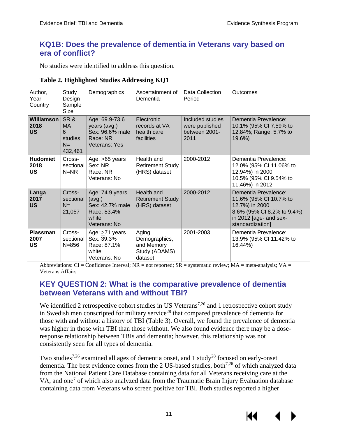#### <span id="page-14-0"></span>**KQ1B: Does the prevalence of dementia in Veterans vary based on era of conflict?**

No studies were identified to address this question.

#### <span id="page-14-2"></span>**Table 2. Highlighted Studies Addressing KQ1**

| Author,<br>Year<br>Country             | Study<br>Design<br>Sample<br>Size                    | Demographics                                                                         | Ascertainment of<br>Dementia                                      | Data Collection<br>Period                                   | Outcomes                                                                                                                                     |
|----------------------------------------|------------------------------------------------------|--------------------------------------------------------------------------------------|-------------------------------------------------------------------|-------------------------------------------------------------|----------------------------------------------------------------------------------------------------------------------------------------------|
| <b>Williamson</b><br>2018<br><b>US</b> | SR&<br><b>MA</b><br>6<br>studies<br>$N =$<br>432,461 | Age: 69.9-73.6<br>years (avg.)<br>Sex: 96.6% male<br>Race: NR<br>Veterans: Yes       | Electronic<br>records at VA<br>health care<br>facilities          | Included studies<br>were published<br>between 2001-<br>2011 | Dementia Prevalence:<br>10.1% (95% CI 7.59% to<br>12.84%; Range: 5.7% to<br>19.6%)                                                           |
| <b>Hudomiet</b><br>2018<br>US          | Cross-<br>sectional<br>$N = NR$                      | Age: $\geq 65$ years<br>Sex: NR<br>Race: NR<br>Veterans: No                          | Health and<br><b>Retirement Study</b><br>(HRS) dataset            | 2000-2012                                                   | Dementia Prevalence:<br>12.0% (95% CI 11.06% to<br>12.94%) in 2000<br>10.5% (95% CI 9.54% to<br>11.46%) in 2012                              |
| Langa<br>2017<br><b>US</b>             | Cross-<br>sectional<br>$N =$<br>21,057               | Age: 74.9 years<br>(avg.)<br>Sex: 42.7% male<br>Race: 83.4%<br>white<br>Veterans: No | Health and<br><b>Retirement Study</b><br>(HRS) dataset            | 2000-2012                                                   | Dementia Prevalence:<br>11.6% (95% CI 10.7% to<br>12.7%) in 2000<br>8.6% (95% CI 8.2% to 9.4%)<br>in 2012 [age- and sex-<br>standardization] |
| <b>Plassman</b><br>2007<br><b>US</b>   | Cross-<br>sectional<br>$N = 856$                     | Age: $\geq 71$ years<br>Sex: 39.3%<br>Race: 87.1%<br>white<br>Veterans: No           | Aging,<br>Demographics,<br>and Memory<br>Study (ADAMS)<br>dataset | 2001-2003                                                   | Dementia Prevalence:<br>13.9% (95% CI 11.42% to<br>16.44%)                                                                                   |

Abbreviations:  $CI =$  Confidence Interval;  $NR =$  not reported;  $SR =$  systematic review;  $MA =$  meta-analysis;  $VA =$ Veterans Affairs

#### <span id="page-14-1"></span>**KEY QUESTION 2: What is the comparative prevalence of dementia between Veterans with and without TBI?**

We identified 2 retrospective cohort studies in US Veterans<sup>[7](#page-24-1),26</sup> and 1 retrospective cohort study in Swedish men conscripted for military service<sup>[28](#page-25-5)</sup> that compared prevalence of dementia for those with and without a history of TBI (Table 3). Overall, we found the prevalence of dementia was higher in those with TBI than those without. We also found evidence there may be a doseresponse relationship between TBIs and dementia; however, this relationship was not consistently seen for all types of dementia.

Two studies<sup>7,[26](#page-25-3)</sup> examined all ages of dementia onset, and 1 study<sup>28</sup> focused on early-onset dementia. The best evidence comes from the 2 US-based studies, both<sup>7,[26](#page-25-3)</sup> of which analyzed data from the National Patient Care Database containing data for all Veterans receiving care at the VA, and one<sup>[7](#page-24-1)</sup> of which also analyzed data from the Traumatic Brain Injury Evaluation database containing data from Veterans who screen positive for TBI. Both studies reported a higher

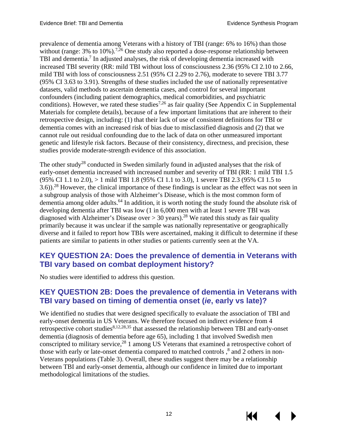prevalence of dementia among Veterans with a history of TBI (range: 6% to 16%) than those without (range: 3% to 10%).<sup>[7,](#page-24-1)[26](#page-25-3)</sup> One study also reported a dose-response relationship between TBI and dementia.<sup>7</sup> In adjusted analyses, the risk of developing dementia increased with increased TBI severity (RR: mild TBI without loss of consciousness 2.36 (95% CI 2.10 to 2.66, mild TBI with loss of consciousness 2.51 (95% CI 2.29 to 2.76), moderate to severe TBI 3.77 (95% CI 3.63 to 3.91). Strengths of these studies included the use of nationally representative datasets, valid methods to ascertain dementia cases, and control for several important confounders (including patient demographics, medical comorbidities, and psychiatric conditions). However, we rated these studies<sup>7,[26](#page-25-3)</sup> as fair quality (See Appendix C in Supplemental Materials for complete details), because of a few important limitations that are inherent to their retrospective design, including: (1) that their lack of use of consistent definitions for TBI or dementia comes with an increased risk of bias due to misclassified diagnosis and (2) that we cannot rule out residual confounding due to the lack of data on other unmeasured important genetic and lifestyle risk factors. Because of their consistency, directness, and precision, these studies provide moderate-strength evidence of this association.

The other study<sup>28</sup> conducted in Sweden similarly found in adjusted analyses that the risk of early-onset dementia increased with increased number and severity of TBI (RR: 1 mild TBI 1.5 (95% CI 1.1 to 2.0), > 1 mild TBI 1.8 (95% CI 1.1 to 3.0), 1 severe TBI 2.3 (95% CI 1.5 to 3.6)).<sup>[28](#page-25-5)</sup> However, the clinical importance of these findings is unclear as the effect was not seen in a subgroup analysis of those with Alzheimer's Disease, which is the most common form of dementia among older adults.<sup>64</sup> In addition, it is worth noting the study found the absolute risk of developing dementia after TBI was low (1 in 6,000 men with at least 1 severe TBI was diagnosed with Alzheimer's Disease over  $> 30$  years).<sup>[28](#page-25-5)</sup> We rated this study as fair quality primarily because it was unclear if the sample was nationally representative or geographically diverse and it failed to report how TBIs were ascertained, making it difficult to determine if these patients are similar to patients in other studies or patients currently seen at the VA.

#### <span id="page-15-0"></span>**KEY QUESTION 2A: Does the prevalence of dementia in Veterans with TBI vary based on combat deployment history?**

No studies were identified to address this question.

#### <span id="page-15-1"></span>**KEY QUESTION 2B: Does the prevalence of dementia in Veterans with TBI vary based on timing of dementia onset (***ie***, early vs late)?**

We identified no studies that were designed specifically to evaluate the association of TBI and early-onset dementia in US Veterans. We therefore focused on indirect evidence from 4 retrospective cohort studies<sup>[8](#page-24-2)[,12,](#page-24-4)[28,](#page-25-5)[35](#page-26-5)</sup> that assessed the relationship between TBI and early-onset dementia (diagnosis of dementia before age 65), including 1 that involved Swedish men conscripted to military service,<sup>[28](#page-25-5)</sup> 1 among US Veterans that examined a retrospective cohort of those with early or late-onset dementia compared to matched controls,<sup>[8](#page-24-2)</sup> and 2 others in non-Veterans populations (Table 3). Overall, these studies suggest there may be a relationship between TBI and early-onset dementia, although our confidence in limited due to important methodological limitations of the studies.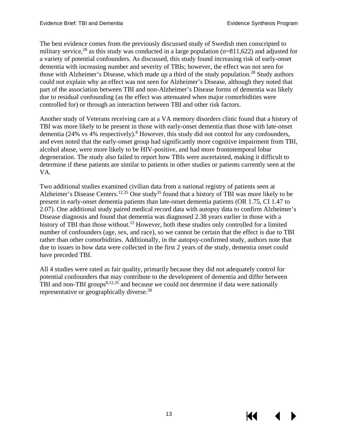The best evidence comes from the previously discussed study of Swedish men conscripted to military service,<sup>[28](#page-25-5)</sup> as this study was conducted in a large population ( $n=811,622$ ) and adjusted for a variety of potential confounders. As discussed, this study found increasing risk of early-onset dementia with increasing number and severity of TBIs; however, the effect was not seen for those with Alzheimer's Disease, which made up a third of the study population.<sup>[28](#page-25-5)</sup> Study authors could not explain why an effect was not seen for Alzheimer's Disease, although they noted that part of the association between TBI and non-Alzheimer's Disease forms of dementia was likely due to residual confounding (as the effect was attenuated when major comorbidities were controlled for) or through an interaction between TBI and other risk factors.

Another study of Veterans receiving care at a VA memory disorders clinic found that a history of TBI was more likely to be present in those with early-onset dementia than those with late-onset dementia (24% vs  $\frac{1}{4}$ % respectively).<sup>[8](#page-24-2)</sup> However, this study did not control for any confounders, and even noted that the early-onset group had significantly more cognitive impairment from TBI, alcohol abuse, were more likely to be HIV-positive, and had more frontotemporal lobar degeneration. The study also failed to report how TBIs were ascertained, making it difficult to determine if these patients are similar to patients in other studies or patients currently seen at the VA.

Two additional studies examined civilian data from a national registry of patients seen at Alzheimer's Disease Centers.<sup>12,[35](#page-26-5)</sup> One study<sup>35</sup> found that a history of TBI was more likely to be present in early-onset dementia patients than late-onset dementia patients (OR 1.75, CI 1.47 to 2.07). One additional study paired medical record data with autopsy data to confirm Alzheimer's Disease diagnosis and found that dementia was diagnosed 2.38 years earlier in those with a history of TBI than those without.<sup>12</sup> However, both these studies only controlled for a limited number of confounders (age, sex, and race), so we cannot be certain that the effect is due to TBI rather than other comorbidities. Additionally, in the autopsy-confirmed study, authors note that due to issues in how data were collected in the first 2 years of the study, dementia onset could have preceded TBI.

All 4 studies were rated as fair quality, primarily because they did not adequately control for potential confounders that may contribute to the development of dementia and differ between TBI and non-TBI groups $8,12,35$  $8,12,35$  $8,12,35$  and because we could not determine if data were nationally representative or geographically diverse.<sup>[28](#page-25-5)</sup>

13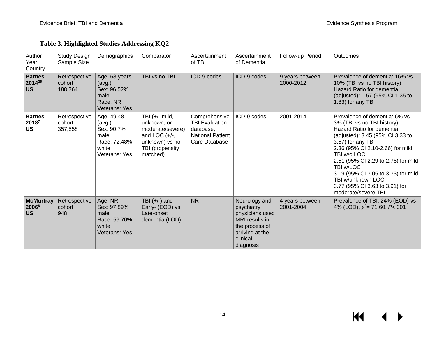#### **Table 3. Highlighted Studies Addressing KQ2**

<span id="page-17-0"></span>

| Author<br>Year<br>Country                          | Study Design<br>Sample Size        | Demographics                                                                         | Comparator                                                                                                              | Ascertainment<br>of TBI                                                                         | Ascertainment<br>of Dementia                                                                                                   | Follow-up Period             | Outcomes                                                                                                                                                                                                                                                                                                                                                                      |
|----------------------------------------------------|------------------------------------|--------------------------------------------------------------------------------------|-------------------------------------------------------------------------------------------------------------------------|-------------------------------------------------------------------------------------------------|--------------------------------------------------------------------------------------------------------------------------------|------------------------------|-------------------------------------------------------------------------------------------------------------------------------------------------------------------------------------------------------------------------------------------------------------------------------------------------------------------------------------------------------------------------------|
| <b>Barnes</b><br>2014 <sup>26</sup><br><b>US</b>   | Retrospective<br>cohort<br>188,764 | Age: 68 years<br>(avg.)<br>Sex: 96.52%<br>male<br>Race: NR<br>Veterans: Yes          | TBI vs no TBI                                                                                                           | ICD-9 codes                                                                                     | ICD-9 codes                                                                                                                    | 9 years between<br>2000-2012 | Prevalence of dementia: 16% vs<br>10% (TBI vs no TBI history)<br>Hazard Ratio for dementia<br>(adjusted): 1.57 (95% CI 1.35 to<br>1.83) for any TBI                                                                                                                                                                                                                           |
| <b>Barnes</b><br>20187<br><b>US</b>                | Retrospective<br>cohort<br>357,558 | Age: 49.48<br>(avg.)<br>Sex: 90.7%<br>male<br>Race: 72.48%<br>white<br>Veterans: Yes | TBI $(+/-$ mild,<br>unknown, or<br>moderate/severe)<br>and LOC $(+/-,$<br>unknown) vs no<br>TBI (propensity<br>matched) | Comprehensive<br><b>TBI Evaluation</b><br>database.<br><b>National Patient</b><br>Care Database | ICD-9 codes                                                                                                                    | 2001-2014                    | Prevalence of dementia: 6% vs<br>3% (TBI vs no TBI history)<br>Hazard Ratio for dementia<br>(adjusted): 3.45 (95% CI 3.33 to<br>3.57) for any TBI<br>2.36 (95% CI 2.10-2.66) for mild<br>TBI w/o LOC<br>2.51 (95% CI 2.29 to 2.76) for mild<br>TBI w/LOC<br>3.19 (95% CI 3.05 to 3.33) for mild<br>TBI w/unknown LOC<br>3.77 (95% CI 3.63 to 3.91) for<br>moderate/severe TBI |
| <b>McMurtray</b><br>2006 <sup>8</sup><br><b>US</b> | Retrospective<br>cohort<br>948     | Age: NR<br>Sex: 97.89%<br>male<br>Race: 59.70%<br>white<br>Veterans: Yes             | TBI $(+/-)$ and<br>Early- (EOD) vs<br>Late-onset<br>dementia (LOD)                                                      | <b>NR</b>                                                                                       | Neurology and<br>psychiatry<br>physicians used<br>MRI results in<br>the process of<br>arriving at the<br>clinical<br>diagnosis | 4 years between<br>2001-2004 | Prevalence of TBI: 24% (EOD) vs<br>4% (LOD), $\chi^2$ = 71.60, P<.001                                                                                                                                                                                                                                                                                                         |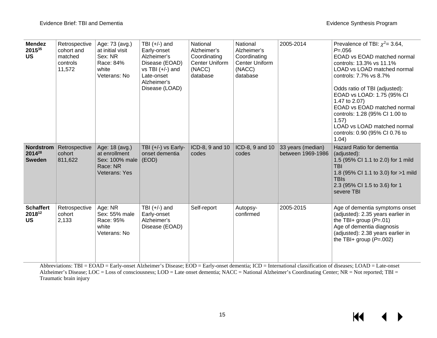| <b>Mendez</b><br>201535<br><b>US</b>                    | Retrospective<br>cohort and<br>matched<br>controls<br>11,572 | Age: 73 (avg.)<br>at initial visit<br>Sex: NR<br>Race: 84%<br>white<br>Veterans: No | TBI $(+/-)$ and<br>Early-onset<br>Alzheimer's<br>Disease (EOAD)<br>$vs$ TBI $(+/-)$ and<br>Late-onset<br>Alzheimer's<br>Disease (LOAD) | National<br>Alzheimer's<br>Coordinating<br><b>Center Uniform</b><br>(NACC)<br>database | National<br>Alzheimer's<br>Coordinating<br>Center Uniform<br>(NACC)<br>database | 2005-2014                              | Prevalence of TBI: $\chi^2$ = 3.64,<br>$P = 0.056$<br>EOAD vs EOAD matched normal<br>controls: 13.3% vs 11.1%<br>LOAD vs LOAD matched normal<br>controls: 7.7% vs 8.7%<br>Odds ratio of TBI (adjusted):<br>EOAD vs LOAD: 1.75 (95% CI<br>1.47 to 2.07)<br>EOAD vs EOAD matched normal<br>controls: 1.28 (95% CI 1.00 to<br>1.57)<br>LOAD vs LOAD matched normal<br>controls: 0.90 (95% CI 0.76 to<br>1.04) |
|---------------------------------------------------------|--------------------------------------------------------------|-------------------------------------------------------------------------------------|----------------------------------------------------------------------------------------------------------------------------------------|----------------------------------------------------------------------------------------|---------------------------------------------------------------------------------|----------------------------------------|------------------------------------------------------------------------------------------------------------------------------------------------------------------------------------------------------------------------------------------------------------------------------------------------------------------------------------------------------------------------------------------------------------|
| <b>Nordstrom</b><br>2014 <sup>28</sup><br><b>Sweden</b> | Retrospective<br>cohort<br>811,622                           | Age: 18 (avg.)<br>at enrollment<br>Sex: 100% male<br>Race: NR<br>Veterans: Yes      | TBI $(+/-)$ vs Early-<br>onset dementia<br>(EOD)                                                                                       | ICD-8, 9 and 10<br>codes                                                               | ICD-8, 9 and 10<br>codes                                                        | 33 years (median)<br>between 1969-1986 | Hazard Ratio for dementia<br>(adjusted):<br>1.5 (95% CI 1.1 to 2.0) for 1 mild<br><b>TBI</b><br>1.8 (95% CI 1.1 to 3.0) for >1 mild<br><b>TBIs</b><br>2.3 (95% CI 1.5 to 3.6) for 1<br>severe TBI                                                                                                                                                                                                          |
| <b>Schaffert</b><br>201812<br><b>US</b>                 | Retrospective<br>cohort<br>2,133                             | Age: NR<br>Sex: 55% male<br>Race: 95%<br>white<br>Veterans: No                      | TBI $(+/-)$ and<br>Early-onset<br>Alzheimer's<br>Disease (EOAD)                                                                        | Self-report                                                                            | Autopsy-<br>confirmed                                                           | 2005-2015                              | Age of dementia symptoms onset<br>(adjusted): 2.35 years earlier in<br>the TBI+ group $(P=.01)$<br>Age of dementia diagnosis<br>(adjusted): 2.38 years earlier in<br>the TBI+ group $(P=.002)$                                                                                                                                                                                                             |

Abbreviations: TBI = EOAD = Early-onset Alzheimer's Disease; EOD = Early-onset dementia; ICD = International classification of diseases; LOAD = Late-onset Alzheimer's Disease; LOC = Loss of consciousness; LOD = Late onset dementia; NACC = National Alzheimer's Coordinating Center; NR = Not reported; TBI = Traumatic brain injury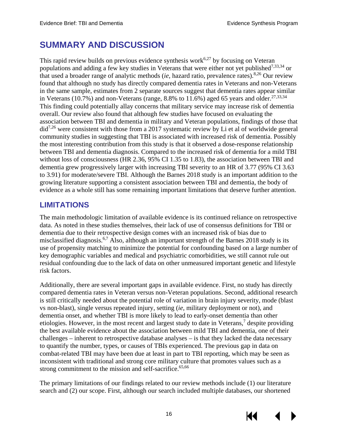# <span id="page-19-0"></span>**SUMMARY AND DISCUSSION**

This rapid review builds on previous evidence synthesis work $6.27$  $6.27$  by focusing on Veteran populations and adding a few key studies in Veterans that were either not yet published<sup>7[,33](#page-26-2)[,34](#page-26-3)</sup> or that used a broader range of analytic methods (*ie*, hazard ratio, prevalence rates).[8,](#page-24-2)[26](#page-25-3) Our review found that although no study has directly compared dementia rates in Veterans and non-Veterans in the same sample, estimates from 2 separate sources suggest that dementia rates appear similar in Veterans (10.7%) and non-Veterans (range, 8.8% to 11.6%) aged 65 years and older.<sup>27,[33,](#page-26-2)[34](#page-26-3)</sup> This finding could potentially allay concerns that military service may increase risk of dementia overall. Our review also found that although few studies have focused on evaluating the association between TBI and dementia in military and Veteran populations, findings of those that di[d7,](#page-24-1)[26](#page-25-3) were consistent with those from a 2017 systematic review by Li et al of worldwide general community studies in suggesting that TBI is associated with increased risk of dementia. Possibly the most interesting contribution from this study is that it observed a dose-response relationship between TBI and dementia diagnosis. Compared to the increased risk of dementia for a mild TBI without loss of consciousness (HR 2.36, 95% CI 1.35 to 1.83), the association between TBI and dementia grew progressively larger with increasing TBI severity to an HR of 3.77 (95% CI 3.63 to 3.91) for moderate/severe TBI. Although the Barnes 2018 study is an important addition to the growing literature supporting a consistent association between TBI and dementia, the body of evidence as a whole still has some remaining important limitations that deserve further attention.

#### <span id="page-19-1"></span>**LIMITATIONS**

The main methodologic limitation of available evidence is its continued reliance on retrospective data. As noted in these studies themselves, their lack of use of consensus definitions for TBI or dementia due to their retrospective design comes with an increased risk of bias due to misclassified diagnosis.<sup>[6,](#page-24-5)[7](#page-24-1)</sup> Also, although an important strength of the Barnes 2018 study is its use of propensity matching to minimize the potential for confounding based on a large number of key demographic variables and medical and psychiatric comorbidities, we still cannot rule out residual confounding due to the lack of data on other unmeasured important genetic and lifestyle risk factors.

Additionally, there are several important gaps in available evidence. First, no study has directly compared dementia rates in Veteran versus non-Veteran populations. Second, additional research is still critically needed about the potential role of variation in brain injury severity, mode (blast vs non-blast), single versus repeated injury, setting (*ie*, military deployment or not), and dementia onset, and whether TBI is more likely to lead to early-onset dementia than other etiologies. However, in the most recent and largest study to date in Veterans, $\frac{7}{1}$  despite providing the best available evidence about the association between mild TBI and dementia, one of their challenges – inherent to retrospective database analyses – is that they lacked the data necessary to quantify the number, types, or causes of TBIs experienced. The previous gap in data on combat-related TBI may have been due at least in part to TBI reporting, which may be seen as inconsistent with traditional and strong core military culture that promotes values such as a strong commitment to the mission and self-sacrifice.<sup>65,[66](#page-28-2)</sup>

The primary limitations of our findings related to our review methods include (1) our literature search and (2) our scope. First, although our search included multiple databases, our shortened

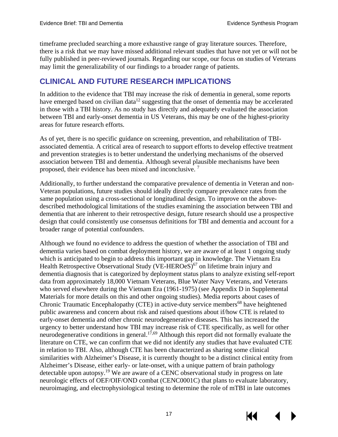timeframe precluded searching a more exhaustive range of gray literature sources. Therefore, there is a risk that we may have missed additional relevant studies that have not yet or will not be fully published in peer-reviewed journals. Regarding our scope, our focus on studies of Veterans may limit the generalizability of our findings to a broader range of patients.

#### <span id="page-20-0"></span>**CLINICAL AND FUTURE RESEARCH IMPLICATIONS**

In addition to the evidence that TBI may increase the risk of dementia in general, some reports have emerged based on civilian data<sup>[12](#page-24-3)</sup> suggesting that the onset of dementia may be accelerated in those with a TBI history. As no study has directly and adequately evaluated the association between TBI and early-onset dementia in US Veterans, this may be one of the highest-priority areas for future research efforts.

As of yet, there is no specific guidance on screening, prevention, and rehabilitation of TBIassociated dementia. A critical area of research to support efforts to develop effective treatment and prevention strategies is to better understand the underlying mechanisms of the observed association between TBI and dementia. Although several plausible mechanisms have been proposed, their evidence has been mixed and inconclusive. [7](#page-24-1)

Additionally, to further understand the comparative prevalence of dementia in Veteran and non-Veteran populations, future studies should ideally directly compare prevalence rates from the same population using a cross-sectional or longitudinal design. To improve on the abovedescribed methodological limitations of the studies examining the association between TBI and dementia that are inherent to their retrospective design, future research should use a prospective design that could consistently use consensus definitions for TBI and dementia and account for a broader range of potential confounders.

Although we found no evidence to address the question of whether the association of TBI and dementia varies based on combat deployment history, we are aware of at least 1 ongoing study which is anticipated to begin to address this important gap in knowledge. The Vietnam Era Health Retrospective Observational Study (VE-HEROeS)<sup>[67](#page-28-0)</sup> on lifetime brain injury and dementia diagnosis that is categorized by deployment status plans to analyze existing self-report data from approximately 18,000 Vietnam Veterans, Blue Water Navy Veterans, and Veterans who served elsewhere during the Vietnam Era (1961-1975) (see Appendix D in Supplemental Materials for more details on this and other ongoing studies). Media reports about cases of Chronic Traumatic Encephalopathy (CTE) in active-duty service members<sup>[68](#page-28-0)</sup> have heightened public awareness and concern about risk and raised questions about if/how CTE is related to early-onset dementia and other chronic neurodegenerative diseases. This has increased the urgency to better understand how TBI may increase risk of CTE specifically, as well for other neurodegenerative conditions in general.<sup>17,[69](#page-28-3)</sup> Although this report did not formally evaluate the literature on CTE, we can confirm that we did not identify any studies that have evaluated CTE in relation to TBI. Also, although CTE has been characterized as sharing some clinical similarities with Alzheimer's Disease, it is currently thought to be a distinct clinical entity from Alzheimer's Disease, either early- or late-onset, with a unique pattern of brain pathology detectable upon autopsy.<sup>19</sup> We are aware of a CENC observational study in progress on late neurologic effects of OEF/OIF/OND combat (CENC0001C) that plans to evaluate laboratory, neuroimaging, and electrophysiological testing to determine the role of mTBI in late outcomes

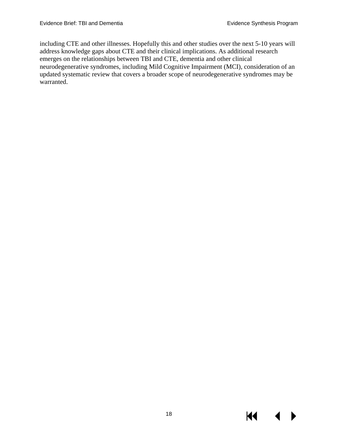including CTE and other illnesses. Hopefully this and other studies over the next 5-10 years will address knowledge gaps about CTE and their clinical implications. As additional research emerges on the relationships between TBI and CTE, dementia and other clinical neurodegenerative syndromes, including Mild Cognitive Impairment (MCI), consideration of an updated systematic review that covers a broader scope of neurodegenerative syndromes may be warranted.

KI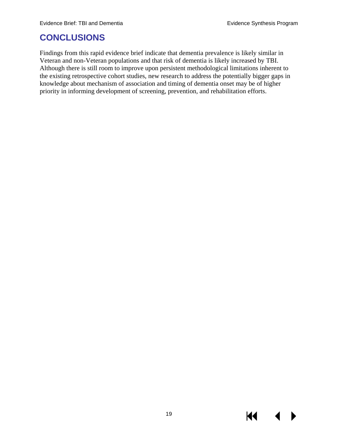## <span id="page-22-0"></span>**CONCLUSIONS**

Findings from this rapid evidence brief indicate that dementia prevalence is likely similar in Veteran and non-Veteran populations and that risk of dementia is likely increased by TBI. Although there is still room to improve upon persistent methodological limitations inherent to the existing retrospective cohort studies, new research to address the potentially bigger gaps in knowledge about mechanism of association and timing of dementia onset may be of higher priority in informing development of screening, prevention, and rehabilitation efforts.

KI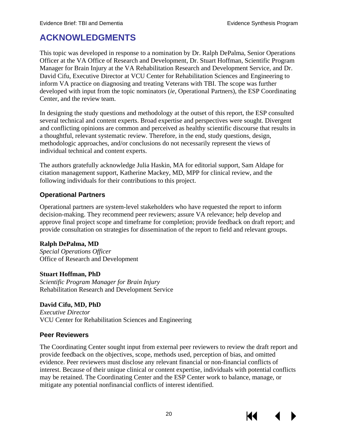## <span id="page-23-0"></span>**ACKNOWLEDGMENTS**

This topic was developed in response to a nomination by Dr. Ralph DePalma, Senior Operations Officer at the VA Office of Research and Development, Dr. Stuart Hoffman, Scientific Program Manager for Brain Injury at the VA Rehabilitation Research and Development Service, and Dr. David Cifu, Executive Director at VCU Center for Rehabilitation Sciences and Engineering to inform VA practice on diagnosing and treating Veterans with TBI. The scope was further developed with input from the topic nominators (*ie*, Operational Partners), the ESP Coordinating Center, and the review team.

In designing the study questions and methodology at the outset of this report, the ESP consulted several technical and content experts. Broad expertise and perspectives were sought. Divergent and conflicting opinions are common and perceived as healthy scientific discourse that results in a thoughtful, relevant systematic review. Therefore, in the end, study questions, design, methodologic approaches, and/or conclusions do not necessarily represent the views of individual technical and content experts.

The authors gratefully acknowledge Julia Haskin, MA for editorial support, Sam Aldape for citation management support, Katherine Mackey, MD, MPP for clinical review, and the following individuals for their contributions to this project.

#### <span id="page-23-1"></span>**Operational Partners**

Operational partners are system-level stakeholders who have requested the report to inform decision-making. They recommend peer reviewers; assure VA relevance; help develop and approve final project scope and timeframe for completion; provide feedback on draft report; and provide consultation on strategies for dissemination of the report to field and relevant groups.

#### **Ralph DePalma, MD**

*Special Operations Officer*  Office of Research and Development

#### **Stuart Hoffman, PhD**

*Scientific Program Manager for Brain Injury*  Rehabilitation Research and Development Service

#### **David Cifu, MD, PhD**

*Executive Director* VCU Center for Rehabilitation Sciences and Engineering

#### <span id="page-23-2"></span>**Peer Reviewers**

The Coordinating Center sought input from external peer reviewers to review the draft report and provide feedback on the objectives, scope, methods used, perception of bias, and omitted evidence. Peer reviewers must disclose any relevant financial or non-financial conflicts of interest. Because of their unique clinical or content expertise, individuals with potential conflicts may be retained. The Coordinating Center and the ESP Center work to balance, manage, or mitigate any potential nonfinancial conflicts of interest identified.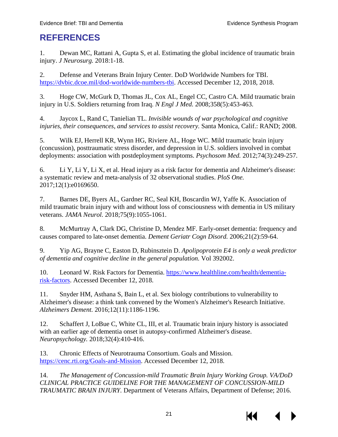## <span id="page-24-3"></span><span id="page-24-0"></span>**REFERENCES**

1. Dewan MC, Rattani A, Gupta S, et al. Estimating the global incidence of traumatic brain injury. *J Neurosurg.* 2018:1-18.

2. Defense and Veterans Brain Injury Center. DoD Worldwide Numbers for TBI. [https://dvbic.dcoe.mil/dod-worldwide-numbers-tbi.](https://dvbic.dcoe.mil/dod-worldwide-numbers-tbi) Accessed December 12, 2018, 2018.

3. Hoge CW, McGurk D, Thomas JL, Cox AL, Engel CC, Castro CA. Mild traumatic brain injury in U.S. Soldiers returning from Iraq. *N Engl J Med.* 2008;358(5):453-463.

4. Jaycox L, Rand C, Tanielian TL. *Invisible wounds of war psychological and cognitive injuries, their consequences, and services to assist recovery.* Santa Monica, Calif.: RAND; 2008.

5. Wilk EJ, Herrell KR, Wynn HG, Riviere AL, Hoge WC. Mild traumatic brain injury (concussion), posttraumatic stress disorder, and depression in U.S. soldiers involved in combat deployments: association with postdeployment symptoms. *Psychosom Med.* 2012;74(3):249-257.

<span id="page-24-5"></span>6. Li Y, Li Y, Li X, et al. Head injury as a risk factor for dementia and Alzheimer's disease: a systematic review and meta-analysis of 32 observational studies. *PloS One.*  2017;12(1):e0169650.

<span id="page-24-1"></span>7. Barnes DE, Byers AL, Gardner RC, Seal KH, Boscardin WJ, Yaffe K. Association of mild traumatic brain injury with and without loss of consciousness with dementia in US military veterans. *JAMA Neurol.* 2018;75(9):1055-1061.

<span id="page-24-2"></span>8. McMurtray A, Clark DG, Christine D, Mendez MF. Early-onset dementia: frequency and causes compared to late-onset dementia. *Dement Geriatr Cogn Disord.* 2006;21(2):59-64.

9. Yip AG, Brayne C, Easton D, Rubinsztein D. *Apolipoprotein E4 is only a weak predictor of dementia and cognitive decline in the general population.* Vol 392002.

10. Leonard W. Risk Factors for Dementia. [https://www.healthline.com/health/dementia](https://www.healthline.com/health/dementia-risk-factors)[risk-factors.](https://www.healthline.com/health/dementia-risk-factors) Accessed December 12, 2018.

11. Snyder HM, Asthana S, Bain L, et al. Sex biology contributions to vulnerability to Alzheimer's disease: a think tank convened by the Women's Alzheimer's Research Initiative. *Alzheimers Dement.* 2016;12(11):1186-1196.

<span id="page-24-4"></span>12. Schaffert J, LoBue C, White CL, III, et al. Traumatic brain injury history is associated with an earlier age of dementia onset in autopsy-confirmed Alzheimer's disease. *Neuropsychology.* 2018;32(4):410-416.

13. Chronic Effects of Neurotrauma Consortium. Goals and Mission. [https://cenc.rti.org/Goals-and-Mission.](https://cenc.rti.org/Goals-and-Mission) Accessed December 12, 2018.

14. *The Management of Concussion-mild Traumatic Brain Injury Working Group. VA/DoD CLINICAL PRACTICE GUIDELINE FOR THE MANAGEMENT OF CONCUSSION-MILD TRAUMATIC BRAIN INJURY.* Department of Veterans Affairs, Department of Defense; 2016.

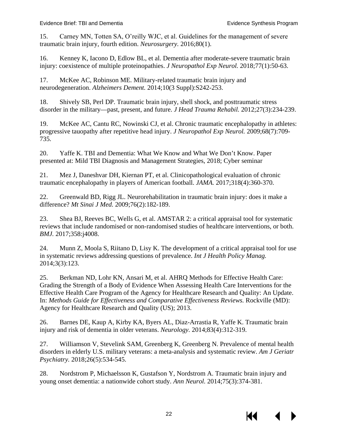<span id="page-25-2"></span>15. Carney MN, Totten SA, O'reilly WJC, et al. Guidelines for the management of severe traumatic brain injury, fourth edition. *Neurosurgery.* 2016;80(1).

<span id="page-25-0"></span>16. Kenney K, Iacono D, Edlow BL, et al. Dementia after moderate-severe traumatic brain injury: coexistence of multiple proteinopathies. *J Neuropathol Exp Neurol.* 2018;77(1):50-63.

<span id="page-25-1"></span>17. McKee AC, Robinson ME. Military-related traumatic brain injury and neurodegeneration. *Alzheimers Dement.* 2014;10(3 Suppl):S242-253.

18. Shively SB, Perl DP. Traumatic brain injury, shell shock, and posttraumatic stress disorder in the military—past, present, and future. *J Head Trauma Rehabil.* 2012;27(3):234-239.

19. McKee AC, Cantu RC, Nowinski CJ, et al. Chronic traumatic encephalopathy in athletes: progressive tauopathy after repetitive head injury. *J Neuropathol Exp Neurol.* 2009;68(7):709- 735.

20. Yaffe K. TBI and Dementia: What We Know and What We Don't Know. Paper presented at: Mild TBI Diagnosis and Management Strategies, 2018; Cyber seminar

21. Mez J, Daneshvar DH, Kiernan PT, et al. Clinicopathological evaluation of chronic traumatic encephalopathy in players of American football. *JAMA.* 2017;318(4):360-370.

22. Greenwald BD, Rigg JL. Neurorehabilitation in traumatic brain injury: does it make a difference? *Mt Sinai J Med.* 2009;76(2):182-189.

<span id="page-25-6"></span>23. Shea BJ, Reeves BC, Wells G, et al. AMSTAR 2: a critical appraisal tool for systematic reviews that include randomised or non-randomised studies of healthcare interventions, or both. *BMJ.* 2017;358:j4008.

24. Munn Z, Moola S, Riitano D, Lisy K. The development of a critical appraisal tool for use in systematic reviews addressing questions of prevalence. *Int J Health Policy Manag.*  2014;3(3):123.

<span id="page-25-7"></span>25. Berkman ND, Lohr KN, Ansari M, et al. AHRQ Methods for Effective Health Care: Grading the Strength of a Body of Evidence When Assessing Health Care Interventions for the Effective Health Care Program of the Agency for Healthcare Research and Quality: An Update. In: *Methods Guide for Effectiveness and Comparative Effectiveness Reviews.* Rockville (MD): Agency for Healthcare Research and Quality (US); 2013.

<span id="page-25-3"></span>26. Barnes DE, Kaup A, Kirby KA, Byers AL, Diaz-Arrastia R, Yaffe K. Traumatic brain injury and risk of dementia in older veterans. *Neurology.* 2014;83(4):312-319.

<span id="page-25-4"></span>27. Williamson V, Stevelink SAM, Greenberg K, Greenberg N. Prevalence of mental health disorders in elderly U.S. military veterans: a meta-analysis and systematic review. *Am J Geriatr Psychiatry.* 2018;26(5):534-545.

<span id="page-25-5"></span>28. Nordstrom P, Michaelsson K, Gustafson Y, Nordstrom A. Traumatic brain injury and young onset dementia: a nationwide cohort study. *Ann Neurol.* 2014;75(3):374-381.

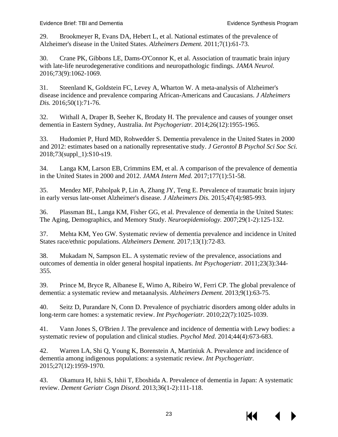<span id="page-26-1"></span><span id="page-26-0"></span>29. Brookmeyer R, Evans DA, Hebert L, et al. National estimates of the prevalence of Alzheimer's disease in the United States. *Alzheimers Dement.* 2011;7(1):61-73.

30. Crane PK, Gibbons LE, Dams-O'Connor K, et al. Association of traumatic brain injury with late-life neurodegenerative conditions and neuropathologic findings. *JAMA Neurol.*  2016;73(9):1062-1069.

31. Steenland K, Goldstein FC, Levey A, Wharton W. A meta-analysis of Alzheimer's disease incidence and prevalence comparing African-Americans and Caucasians. *J Alzheimers Dis.* 2016;50(1):71-76.

32. Withall A, Draper B, Seeher K, Brodaty H. The prevalence and causes of younger onset dementia in Eastern Sydney, Australia. *Int Psychogeriatr.* 2014;26(12):1955-1965.

<span id="page-26-2"></span>33. Hudomiet P, Hurd MD, Rohwedder S. Dementia prevalence in the United States in 2000 and 2012: estimates based on a nationally representative study. *J Gerontol B Psychol Sci Soc Sci.*  2018;73(suppl\_1):S10-s19.

<span id="page-26-3"></span>34. Langa KM, Larson EB, Crimmins EM, et al. A comparison of the prevalence of dementia in the United States in 2000 and 2012. *JAMA Intern Med.* 2017;177(1):51-58.

<span id="page-26-5"></span>35. Mendez MF, Paholpak P, Lin A, Zhang JY, Teng E. Prevalence of traumatic brain injury in early versus late-onset Alzheimer's disease. *J Alzheimers Dis.* 2015;47(4):985-993.

<span id="page-26-4"></span>36. Plassman BL, Langa KM, Fisher GG, et al. Prevalence of dementia in the United States: The Aging, Demographics, and Memory Study. *Neuroepidemiology.* 2007;29(1-2):125-132.

37. Mehta KM, Yeo GW. Systematic review of dementia prevalence and incidence in United States race/ethnic populations. *Alzheimers Dement.* 2017;13(1):72-83.

38. Mukadam N, Sampson EL. A systematic review of the prevalence, associations and outcomes of dementia in older general hospital inpatients. *Int Psychogeriatr.* 2011;23(3):344- 355.

39. Prince M, Bryce R, Albanese E, Wimo A, Ribeiro W, Ferri CP. The global prevalence of dementia: a systematic review and metaanalysis. *Alzheimers Dement.* 2013;9(1):63-75.

40. Seitz D, Purandare N, Conn D. Prevalence of psychiatric disorders among older adults in long-term care homes: a systematic review. *Int Psychogeriatr.* 2010;22(7):1025-1039.

41. Vann Jones S, O'Brien J. The prevalence and incidence of dementia with Lewy bodies: a systematic review of population and clinical studies. *Psychol Med.* 2014;44(4):673-683.

42. Warren LA, Shi Q, Young K, Borenstein A, Martiniuk A. Prevalence and incidence of dementia among indigenous populations: a systematic review. *Int Psychogeriatr.*  2015;27(12):1959-1970.

43. Okamura H, Ishii S, Ishii T, Eboshida A. Prevalence of dementia in Japan: A systematic review. *Dement Geriatr Cogn Disord.* 2013;36(1-2):111-118.

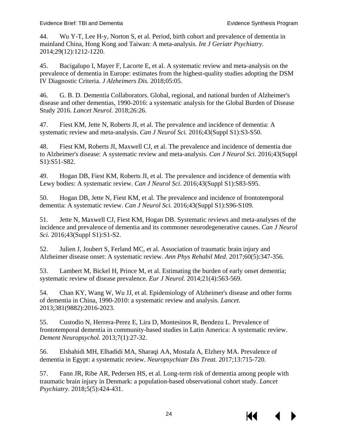44. Wu Y-T, Lee H-y, Norton S, et al. Period, birth cohort and prevalence of dementia in mainland China, Hong Kong and Taiwan: A meta-analysis. *Int J Geriatr Psychiatry.*  2014;29(12):1212-1220.

45. Bacigalupo I, Mayer F, Lacorte E, et al. A systematic review and meta-analysis on the prevalence of dementia in Europe: estimates from the highest-quality studies adopting the DSM IV Diagnostic Criteria. *J Alzheimers Dis.* 2018;05:05.

46. G. B. D. Dementia Collaborators. Global, regional, and national burden of Alzheimer's disease and other dementias, 1990-2016: a systematic analysis for the Global Burden of Disease Study 2016. *Lancet Neurol.* 2018;26:26.

47. Fiest KM, Jette N, Roberts JI, et al. The prevalence and incidence of dementia: A systematic review and meta-analysis. *Can J Neurol Sci.* 2016;43(Suppl S1):S3-S50.

48. Fiest KM, Roberts JI, Maxwell CJ, et al. The prevalence and incidence of dementia due to Alzheimer's disease: A systematic review and meta-analysis. *Can J Neurol Sci.* 2016;43(Suppl S1):S51-S82.

49. Hogan DB, Fiest KM, Roberts JI, et al. The prevalence and incidence of dementia with Lewy bodies: A systematic review. *Can J Neurol Sci.* 2016;43(Suppl S1):S83-S95.

50. Hogan DB, Jette N, Fiest KM, et al. The prevalence and incidence of frontotemporal dementia: A systematic review. *Can J Neurol Sci.* 2016;43(Suppl S1):S96-S109.

51. Jette N, Maxwell CJ, Fiest KM, Hogan DB. Systematic reviews and meta-analyses of the incidence and prevalence of dementia and its commoner neurodegenerative causes. *Can J Neurol Sci.* 2016;43(Suppl S1):S1-S2.

52. Julien J, Joubert S, Ferland MC, et al. Association of traumatic brain injury and Alzheimer disease onset: A systematic review. *Ann Phys Rehabil Med.* 2017;60(5):347-356.

53. Lambert M, Bickel H, Prince M, et al. Estimating the burden of early onset dementia; systematic review of disease prevalence. *Eur J Neurol.* 2014;21(4):563-569.

54. Chan KY, Wang W, Wu JJ, et al. Epidemiology of Alzheimer's disease and other forms of dementia in China, 1990-2010: a systematic review and analysis. *Lancet.*  2013;381(9882):2016-2023.

55. Custodio N, Herrera-Perez E, Lira D, Montesinos R, Bendezu L. Prevalence of frontotemporal dementia in community-based studies in Latin America: A systematic review. *Dement Neuropsychol.* 2013;7(1):27-32.

56. Elshahidi MH, Elhadidi MA, Sharaqi AA, Mostafa A, Elzhery MA. Prevalence of dementia in Egypt: a systematic review. *Neuropsychiatr Dis Treat.* 2017;13:715-720.

57. Fann JR, Ribe AR, Pedersen HS, et al. Long-term risk of dementia among people with traumatic brain injury in Denmark: a population-based observational cohort study. *Lancet Psychiatry.* 2018;5(5):424-431.